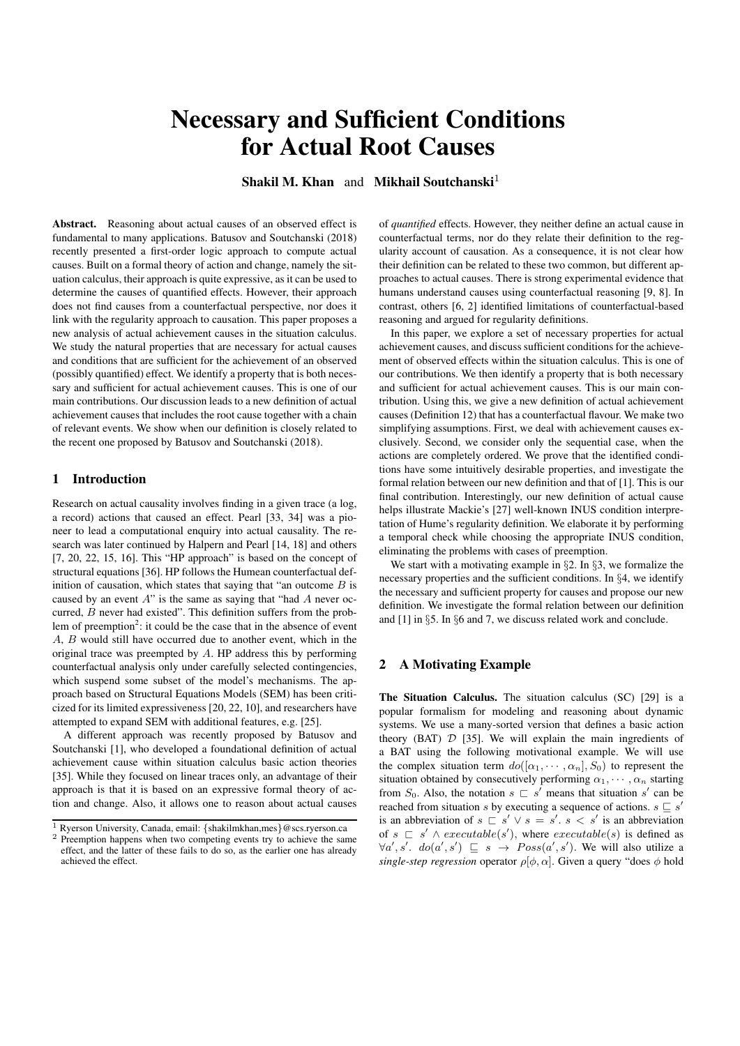# Necessary and Sufficient Conditions for Actual Root Causes

Shakil M. Khan and Mikhail Soutchanski<sup>1</sup>

Abstract. Reasoning about actual causes of an observed effect is fundamental to many applications. Batusov and Soutchanski (2018) recently presented a first-order logic approach to compute actual causes. Built on a formal theory of action and change, namely the situation calculus, their approach is quite expressive, as it can be used to determine the causes of quantified effects. However, their approach does not find causes from a counterfactual perspective, nor does it link with the regularity approach to causation. This paper proposes a new analysis of actual achievement causes in the situation calculus. We study the natural properties that are necessary for actual causes and conditions that are sufficient for the achievement of an observed (possibly quantified) effect. We identify a property that is both necessary and sufficient for actual achievement causes. This is one of our main contributions. Our discussion leads to a new definition of actual achievement causes that includes the root cause together with a chain of relevant events. We show when our definition is closely related to the recent one proposed by Batusov and Soutchanski (2018).

# 1 Introduction

Research on actual causality involves finding in a given trace (a log, a record) actions that caused an effect. Pearl [33, 34] was a pioneer to lead a computational enquiry into actual causality. The research was later continued by Halpern and Pearl [14, 18] and others [7, 20, 22, 15, 16]. This "HP approach" is based on the concept of structural equations [36]. HP follows the Humean counterfactual definition of causation, which states that saying that "an outcome  $B$  is caused by an event  $A$ " is the same as saying that "had  $A$  never occurred, B never had existed". This definition suffers from the problem of preemption<sup>2</sup>: it could be the case that in the absence of event A, B would still have occurred due to another event, which in the original trace was preempted by A. HP address this by performing counterfactual analysis only under carefully selected contingencies, which suspend some subset of the model's mechanisms. The approach based on Structural Equations Models (SEM) has been criticized for its limited expressiveness [20, 22, 10], and researchers have attempted to expand SEM with additional features, e.g. [25].

A different approach was recently proposed by Batusov and Soutchanski [1], who developed a foundational definition of actual achievement cause within situation calculus basic action theories [35]. While they focused on linear traces only, an advantage of their approach is that it is based on an expressive formal theory of action and change. Also, it allows one to reason about actual causes of *quantified* effects. However, they neither define an actual cause in counterfactual terms, nor do they relate their definition to the regularity account of causation. As a consequence, it is not clear how their definition can be related to these two common, but different approaches to actual causes. There is strong experimental evidence that humans understand causes using counterfactual reasoning [9, 8]. In contrast, others [6, 2] identified limitations of counterfactual-based reasoning and argued for regularity definitions.

In this paper, we explore a set of necessary properties for actual achievement causes, and discuss sufficient conditions for the achievement of observed effects within the situation calculus. This is one of our contributions. We then identify a property that is both necessary and sufficient for actual achievement causes. This is our main contribution. Using this, we give a new definition of actual achievement causes (Definition 12) that has a counterfactual flavour. We make two simplifying assumptions. First, we deal with achievement causes exclusively. Second, we consider only the sequential case, when the actions are completely ordered. We prove that the identified conditions have some intuitively desirable properties, and investigate the formal relation between our new definition and that of [1]. This is our final contribution. Interestingly, our new definition of actual cause helps illustrate Mackie's [27] well-known INUS condition interpretation of Hume's regularity definition. We elaborate it by performing a temporal check while choosing the appropriate INUS condition, eliminating the problems with cases of preemption.

We start with a motivating example in §2. In §3, we formalize the necessary properties and the sufficient conditions. In §4, we identify the necessary and sufficient property for causes and propose our new definition. We investigate the formal relation between our definition and [1] in §5. In §6 and 7, we discuss related work and conclude.

#### 2 A Motivating Example

The Situation Calculus. The situation calculus (SC) [29] is a popular formalism for modeling and reasoning about dynamic systems. We use a many-sorted version that defines a basic action theory (BAT)  $D$  [35]. We will explain the main ingredients of a BAT using the following motivational example. We will use the complex situation term  $do([\alpha_1, \cdots, \alpha_n], S_0)$  to represent the situation obtained by consecutively performing  $\alpha_1, \cdots, \alpha_n$  starting from  $S_0$ . Also, the notation  $s \rvert s'$  means that situation s' can be reached from situation s by executing a sequence of actions.  $s \subseteq s'$ is an abbreviation of  $s \rvert s' \lor s = s'$ .  $s < s'$  is an abbreviation of  $s \subseteq s' \land executable(s')$ , where  $execute(s)$  is defined as  $\forall a', s'. \, do(a', s') \subseteq s \rightarrow Poss(a', s').$  We will also utilize a *single-step regression* operator  $\rho$ [ $\phi$ ,  $\alpha$ ]. Given a query "does  $\phi$  hold

 $\overline{1}$  Ryerson University, Canada, email: {shakilmkhan,mes}@scs.ryerson.ca

<sup>&</sup>lt;sup>2</sup> Preemption happens when two competing events try to achieve the same effect, and the latter of these fails to do so, as the earlier one has already achieved the effect.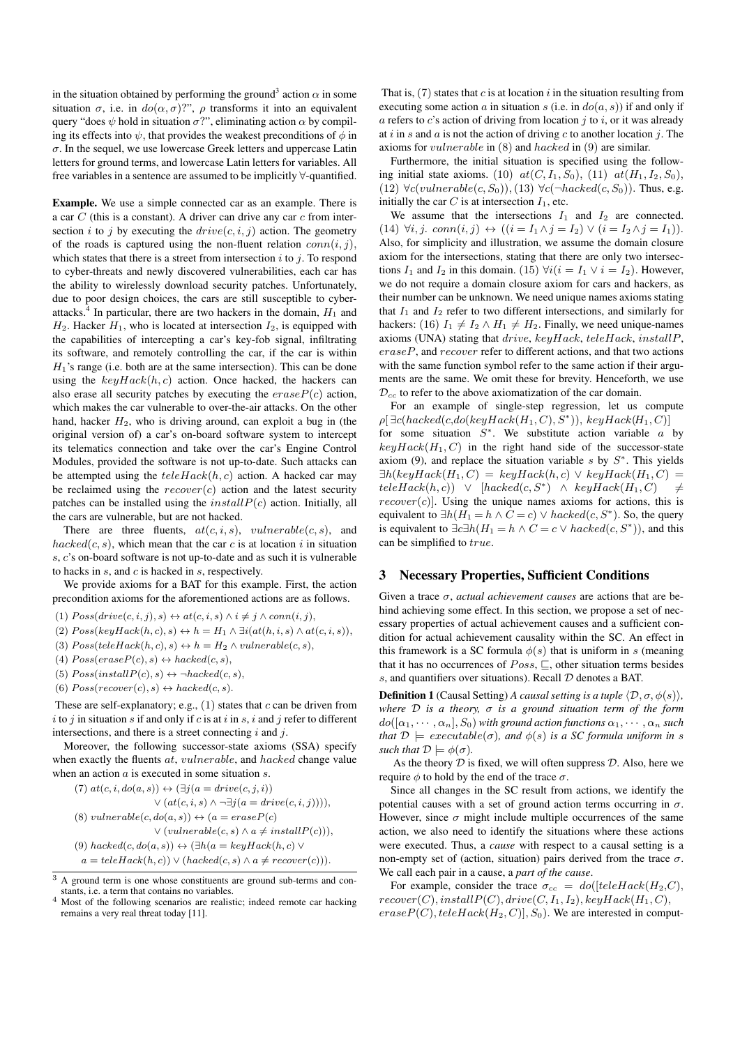in the situation obtained by performing the ground<sup>3</sup> action  $\alpha$  in some situation  $\sigma$ , i.e. in  $do(\alpha, \sigma)$ ?",  $\rho$  transforms it into an equivalent query "does  $\psi$  hold in situation  $\sigma$ ?", eliminating action  $\alpha$  by compiling its effects into  $\psi$ , that provides the weakest preconditions of  $\phi$  in  $\sigma$ . In the sequel, we use lowercase Greek letters and uppercase Latin letters for ground terms, and lowercase Latin letters for variables. All free variables in a sentence are assumed to be implicitly ∀-quantified.

Example. We use a simple connected car as an example. There is a car  $C$  (this is a constant). A driver can drive any car  $c$  from intersection i to j by executing the  $drive(c, i, j)$  action. The geometry of the roads is captured using the non-fluent relation  $conn(i, j)$ , which states that there is a street from intersection  $i$  to  $j$ . To respond to cyber-threats and newly discovered vulnerabilities, each car has the ability to wirelessly download security patches. Unfortunately, due to poor design choices, the cars are still susceptible to cyberattacks.<sup>4</sup> In particular, there are two hackers in the domain,  $H_1$  and  $H_2$ . Hacker  $H_1$ , who is located at intersection  $I_2$ , is equipped with the capabilities of intercepting a car's key-fob signal, infiltrating its software, and remotely controlling the car, if the car is within  $H_1$ 's range (i.e. both are at the same intersection). This can be done using the  $keyHack(h, c)$  action. Once hacked, the hackers can also erase all security patches by executing the  $eraseP(c)$  action, which makes the car vulnerable to over-the-air attacks. On the other hand, hacker  $H_2$ , who is driving around, can exploit a bug in (the original version of) a car's on-board software system to intercept its telematics connection and take over the car's Engine Control Modules, provided the software is not up-to-date. Such attacks can be attempted using the  $teleHack(h, c)$  action. A hacked car may be reclaimed using the  $recover(c)$  action and the latest security patches can be installed using the  $installP(c)$  action. Initially, all the cars are vulnerable, but are not hacked.

There are three fluents,  $at(c, i, s)$ ,  $vulnerable(c, s)$ , and  $hacked(c, s)$ , which mean that the car c is at location i in situation s, c's on-board software is not up-to-date and as such it is vulnerable to hacks in  $s$ , and  $c$  is hacked in  $s$ , respectively.

We provide axioms for a BAT for this example. First, the action precondition axioms for the aforementioned actions are as follows.

(1)  $Poss(drive(c, i, j), s) \leftrightarrow \text{at}(c, i, s) \land i \neq j \land \text{conn}(i, j),$ 

(2)  $Poss(keyHack(h, c), s) \leftrightarrow h = H_1 \wedge \exists i (at(h, i, s) \wedge at(c, i, s)),$ 

(3)  $Poss(teleHack(h, c), s) \leftrightarrow h = H_2 \wedge vulnerable(c, s),$ 

(4)  $Poss(exseP(c), s) \leftrightarrow \text{hacked}(c, s),$ 

(5)  $Poss(installP(c), s) \leftrightarrow \neg \textit{hacked}(c, s),$ 

(6)  $Poss(recover(c), s) \leftrightarrow backed(c, s).$ 

These are self-explanatory; e.g.,  $(1)$  states that c can be driven from i to j in situation s if and only if c is at i in s, i and j refer to different intersections, and there is a street connecting  $i$  and  $j$ .

Moreover, the following successor-state axioms (SSA) specify when exactly the fluents *at*, *vulnerable*, and *hacked* change value when an action a is executed in some situation s.

(7) 
$$
at(c, i, do(a, s)) \leftrightarrow (\exists j (a = drive(c, j, i))
$$
  
\n $\lor (at(c, i, s) \land \neg \exists j (a = drive(c, i, j))))$ ,  
\n(8)  $vuherable(c, do(a, s)) \leftrightarrow (a = eraseP(c)$   
\n $\lor (vuherable(c, s) \land a \neq installP(c)))$ ,  
\n(9)  $hacked(c, do(a, s)) \leftrightarrow (\exists h(a = keyHack(h, c) \lor a = teleHack(h, c)) \lor (hacked(c, s) \land a \neq recover(c))).$ 

That is,  $(7)$  states that c is at location i in the situation resulting from executing some action a in situation s (i.e. in  $do(a, s)$ ) if and only if a refers to  $c$ 's action of driving from location  $j$  to  $i$ , or it was already at i in s and a is not the action of driving  $c$  to another location j. The axioms for vulnerable in (8) and hacked in (9) are similar.

Furthermore, the initial situation is specified using the following initial state axioms. (10)  $at(C, I_1, S_0)$ , (11)  $at(H_1, I_2, S_0)$ , (12)  $\forall c(vulnerable(c, S_0)),$ (13)  $\forall c(\neg locked(c, S_0)).$  Thus, e.g. initially the car  $C$  is at intersection  $I_1$ , etc.

We assume that the intersections  $I_1$  and  $I_2$  are connected. (14)  $\forall i, j. \; conn(i, j) \leftrightarrow ((i = I_1 \land j = I_2) \lor (i = I_2 \land j = I_1)).$ Also, for simplicity and illustration, we assume the domain closure axiom for the intersections, stating that there are only two intersections  $I_1$  and  $I_2$  in this domain. (15)  $\forall i (i = I_1 \lor i = I_2)$ . However, we do not require a domain closure axiom for cars and hackers, as their number can be unknown. We need unique names axioms stating that  $I_1$  and  $I_2$  refer to two different intersections, and similarly for hackers: (16)  $I_1 \neq I_2 \wedge H_1 \neq H_2$ . Finally, we need unique-names axioms (UNA) stating that drive, keyHack, teleHack, installP, eraseP, and recover refer to different actions, and that two actions with the same function symbol refer to the same action if their arguments are the same. We omit these for brevity. Henceforth, we use  $\mathcal{D}_{cc}$  to refer to the above axiomatization of the car domain.

For an example of single-step regression, let us compute  $\rho[\exists c(hacked(c, do(keyHack(H_1, C), S^*)), keyHack(H_1, C)]$ for some situation  $S^*$ . We substitute action variable  $a$  by  $keyHack(H_1, C)$  in the right hand side of the successor-state axiom (9), and replace the situation variable  $s$  by  $S^*$ . This yields  $\exists h(keyHack(H_1, C) = keyHack(h, c) \lor keyHack(H_1, C) =$  $teleHack(h, c)) \vee [hacked(c, S^*) \wedge keyHack(H_1, C) \neq$  $recover(c)$ . Using the unique names axioms for actions, this is equivalent to  $\exists h(H_1 = h \land C = c) \lor \text{hacked}(c, S^*)$ . So, the query is equivalent to  $\exists c \exists h (H_1 = h \land C = c \lor \text{hacked}(c, S^*))$ , and this can be simplified to *true*.

#### 3 Necessary Properties, Sufficient Conditions

Given a trace σ, *actual achievement causes* are actions that are behind achieving some effect. In this section, we propose a set of necessary properties of actual achievement causes and a sufficient condition for actual achievement causality within the SC. An effect in this framework is a SC formula  $\phi(s)$  that is uniform in s (meaning that it has no occurrences of  $Poss$ ,  $\sqsubseteq$ , other situation terms besides s, and quantifiers over situations). Recall  $D$  denotes a BAT.

**Definition 1** (Causal Setting) *A causal setting is a tuple*  $\langle \mathcal{D}, \sigma, \phi(s) \rangle$ *, where* D *is a theory,* σ *is a ground situation term of the form*  $do([\alpha_1, \cdots, \alpha_n], S_0)$  with ground action functions  $\alpha_1, \cdots, \alpha_n$  such *that*  $D \models \text{execute}(\sigma)$ *, and*  $\phi(s)$  *is a SC formula uniform in s such that*  $\mathcal{D} \models \phi(\sigma)$ *.* 

As the theory  $D$  is fixed, we will often suppress  $D$ . Also, here we require  $\phi$  to hold by the end of the trace  $\sigma$ .

Since all changes in the SC result from actions, we identify the potential causes with a set of ground action terms occurring in  $\sigma$ . However, since  $\sigma$  might include multiple occurrences of the same action, we also need to identify the situations where these actions were executed. Thus, a *cause* with respect to a causal setting is a non-empty set of (action, situation) pairs derived from the trace  $\sigma$ . We call each pair in a cause, a *part of the cause*.

For example, consider the trace  $\sigma_{cc} = do([teleHack(H_2, C)),$  $recover(C), install P(C), drive(C, I<sub>1</sub>, I<sub>2</sub>), keyHack(H<sub>1</sub>, C),$  $eraseP(C), teleHack(H_2, C)], S_0$ . We are interested in comput-

 $\overline{3}$  A ground term is one whose constituents are ground sub-terms and constants, i.e. a term that contains no variables.

<sup>&</sup>lt;sup>4</sup> Most of the following scenarios are realistic; indeed remote car hacking remains a very real threat today [11].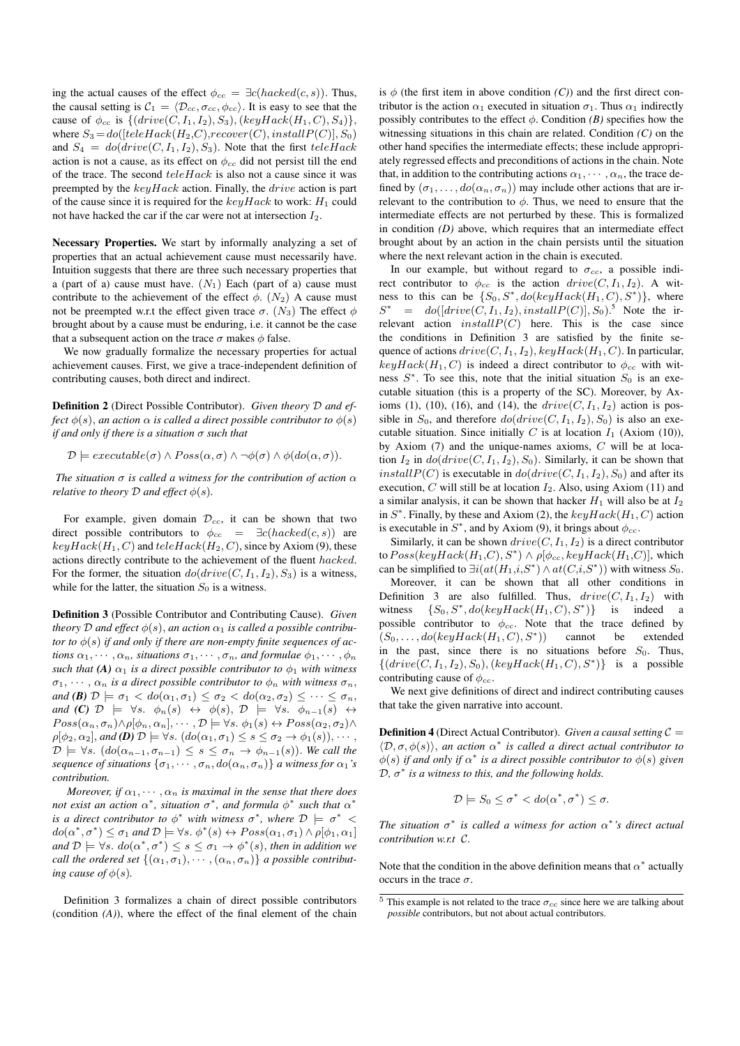ing the actual causes of the effect  $\phi_{cc} = \exists c(hacked(c, s))$ . Thus, the causal setting is  $C_1 = \langle \mathcal{D}_{cc}, \sigma_{cc}, \phi_{cc} \rangle$ . It is easy to see that the cause of  $\phi_{cc}$  is  $\{(drive(C, I_1, I_2), S_3), (keyHack(H_1, C), S_4)\},\$ where  $S_3 = do([teleHack(H_2, C), recover(C), installP(C)], S_0)$ and  $S_4 = do(drive(C, I_1, I_2), S_3)$ . Note that the first teleHack action is not a cause, as its effect on  $\phi_{cc}$  did not persist till the end of the trace. The second  $teleHack$  is also not a cause since it was preempted by the  $keuHack$  action. Finally, the *drive* action is part of the cause since it is required for the  $keyHack$  to work:  $H_1$  could not have hacked the car if the car were not at intersection  $I_2$ .

Necessary Properties. We start by informally analyzing a set of properties that an actual achievement cause must necessarily have. Intuition suggests that there are three such necessary properties that a (part of a) cause must have.  $(N_1)$  Each (part of a) cause must contribute to the achievement of the effect  $\phi$ . (N<sub>2</sub>) A cause must not be preempted w.r.t the effect given trace  $\sigma$ . (N<sub>3</sub>) The effect  $\phi$ brought about by a cause must be enduring, i.e. it cannot be the case that a subsequent action on the trace  $\sigma$  makes  $\phi$  false.

We now gradually formalize the necessary properties for actual achievement causes. First, we give a trace-independent definition of contributing causes, both direct and indirect.

Definition 2 (Direct Possible Contributor). *Given theory* D *and effect*  $\phi(s)$ *, an action*  $\alpha$  *is called a direct possible contributor to*  $\phi(s)$ *if and only if there is a situation* σ *such that*

 $\mathcal{D} \models executeable(\sigma) \land Poss(\alpha, \sigma) \land \neg \phi(\sigma) \land \phi(do(\alpha, \sigma)).$ 

*The situation*  $\sigma$  *is called a witness for the contribution of action*  $\alpha$ *relative to theory*  $D$  *and effect*  $\phi(s)$ *.* 

For example, given domain  $\mathcal{D}_{cc}$ , it can be shown that two direct possible contributors to  $\phi_{cc} = \exists c(hacked(c, s))$  are  $keyHack(H_1, C)$  and  $teleHack(H_2, C)$ , since by Axiom (9), these actions directly contribute to the achievement of the fluent hacked. For the former, the situation  $do(drive(C, I_1, I_2), S_3)$  is a witness, while for the latter, the situation  $S_0$  is a witness.

Definition 3 (Possible Contributor and Contributing Cause). *Given theory* D and effect  $\phi(s)$ , an action  $\alpha_1$  is called a possible contribu*tor to*  $\phi(s)$  *if and only if there are non-empty finite sequences of actions*  $\alpha_1, \dots, \alpha_n$ *, situations*  $\sigma_1, \dots, \sigma_n$ *, and formulae*  $\phi_1, \dots, \phi_n$ *such that* (A)  $\alpha_1$  *is a direct possible contributor to*  $\phi_1$  *with witness*  $\sigma_1, \cdots, \alpha_n$  *is a direct possible contributor to*  $\phi_n$  *with witness*  $\sigma_n$ *, and* **(B)**  $\mathcal{D} \models \sigma_1 < do(\alpha_1, \sigma_1) \leq \sigma_2 < do(\alpha_2, \sigma_2) \leq \cdots \leq \sigma_n$ *and* **(C)**  $\mathcal{D}$   $\models \forall s$ .  $\phi_n(s) \leftrightarrow \phi(s)$ ,  $\mathcal{D}$   $\models \forall s$ .  $\phi_{n-1}(s) \leftrightarrow \phi(s)$  $Poss(\alpha_n, \sigma_n) \land \rho[\phi_n, \alpha_n], \cdots, \mathcal{D} \models \forall s. \ \phi_1(s) \leftrightarrow Poss(\alpha_2, \sigma_2) \land$  $\rho[\phi_2, \alpha_2]$ , and **(D)**  $\mathcal{D} \models \forall s$ .  $(do(\alpha_1, \sigma_1) \leq s \leq \sigma_2 \rightarrow \phi_1(s)), \cdots$ ,  $\mathcal{D} \models \forall s. \ (do(\alpha_{n-1}, \sigma_{n-1}) \leq s \leq \sigma_n \rightarrow \phi_{n-1}(s)).$  We call the *sequence of situations*  $\{\sigma_1, \cdots, \sigma_n, do(\alpha_n, \sigma_n)\}$  *a witness for*  $\alpha_1$ *'s contribution.*

*Moreover, if*  $\alpha_1, \cdots, \alpha_n$  *is maximal in the sense that there does not exist an action*  $\alpha^*$ *, situation*  $\sigma^*$ *, and formula*  $\phi^*$  *such that*  $\alpha^*$ *is a direct contributor to*  $\phi^*$  *with witness*  $\sigma^*$ *, where*  $\mathcal{D} \models \sigma^*$  <  $do(\alpha^*, \sigma^*) \leq \sigma_1$  *and*  $\mathcal{D} \models \forall s. \phi^*(s) \leftrightarrow Poss(\alpha_1, \sigma_1) \land \rho[\phi_1, \alpha_1]$ and  $\mathcal{D} \models \forall s$ .  $do(\alpha^*, \sigma^*) \leq s \leq \sigma_1 \rightarrow \phi^*(s)$ , then in addition we *call the ordered set*  $\{(\alpha_1, \sigma_1), \cdots, (\alpha_n, \sigma_n)\}$  *a possible contributing cause of*  $\phi(s)$ *.* 

Definition 3 formalizes a chain of direct possible contributors (condition *(A)*), where the effect of the final element of the chain is  $\phi$  (the first item in above condition *(C)*) and the first direct contributor is the action  $\alpha_1$  executed in situation  $\sigma_1$ . Thus  $\alpha_1$  indirectly possibly contributes to the effect  $\phi$ . Condition *(B)* specifies how the witnessing situations in this chain are related. Condition *(C)* on the other hand specifies the intermediate effects; these include appropriately regressed effects and preconditions of actions in the chain. Note that, in addition to the contributing actions  $\alpha_1, \cdots, \alpha_n$ , the trace defined by  $(\sigma_1, \ldots, d\rho(\alpha_n, \sigma_n))$  may include other actions that are irrelevant to the contribution to  $\phi$ . Thus, we need to ensure that the intermediate effects are not perturbed by these. This is formalized in condition *(D)* above, which requires that an intermediate effect brought about by an action in the chain persists until the situation where the next relevant action in the chain is executed.

In our example, but without regard to  $\sigma_{cc}$ , a possible indirect contributor to  $\phi_{cc}$  is the action  $drive(C, I_1, I_2)$ . A witness to this can be  $\{S_0, S^*, do(keyHack(H_1, C), S^*)\}$ , where  $S^* = do([drive(C, I_1, I_2), install P(C)], S_0)$ .<sup>5</sup> Note the irrelevant action  $installP(C)$  here. This is the case since the conditions in Definition 3 are satisfied by the finite sequence of actions  $drive(C, I_1, I_2)$ ,  $keyHack(H_1, C)$ . In particular,  $keyHack(H_1, C)$  is indeed a direct contributor to  $\phi_{cc}$  with witness  $S^*$ . To see this, note that the initial situation  $S_0$  is an executable situation (this is a property of the SC). Moreover, by Axioms (1), (10), (16), and (14), the  $drive(C, I_1, I_2)$  action is possible in  $S_0$ , and therefore  $do(drive(C, I_1, I_2), S_0)$  is also an executable situation. Since initially C is at location  $I_1$  (Axiom (10)), by Axiom (7) and the unique-names axioms, C will be at location  $I_2$  in  $do(drive(C, I_1, I_2), S_0)$ . Similarly, it can be shown that install  $P(C)$  is executable in  $do(drive(C, I_1, I_2), S_0)$  and after its execution, C will still be at location  $I_2$ . Also, using Axiom (11) and a similar analysis, it can be shown that hacker  $H_1$  will also be at  $I_2$ in  $S^*$ . Finally, by these and Axiom (2), the  $keyHack(H_1, C)$  action is executable in  $S^*$ , and by Axiom (9), it brings about  $\phi_{cc}$ .

Similarly, it can be shown  $drive(C, I_1, I_2)$  is a direct contributor to  $Poss(keyHack(H_1, C), S^*) \wedge \rho[\phi_{cc}, keyHack(H_1, C)]$ , which can be simplified to  $\exists i (at(H_1,i, S^*) \wedge at(C,i, S^*))$  with witness  $S_0$ .

Moreover, it can be shown that all other conditions in Definition 3 are also fulfilled. Thus,  $drive(C, I_1, I_2)$  with witness  $\{S_0, S^*, do(keyHack(H_1, C), S^*$ )} is indeed a possible contributor to  $\phi_{cc}$ . Note that the trace defined by  $(S_0, \ldots, do(keyHack(H_1, C), S^*))$ )) cannot be extended in the past, since there is no situations before  $S_0$ . Thus,  $\{(drive(C, I_1, I_2), S_0), (keyHack(H_1, C), S^*)\}$  is a possible contributing cause of  $\phi_{cc}$ .

We next give definitions of direct and indirect contributing causes that take the given narrative into account.

**Definition 4** (Direct Actual Contributor). *Given a causal setting*  $C =$  $\langle \mathcal{D}, \sigma, \phi(s) \rangle$ , *an action*  $\alpha^*$  *is called a direct actual contributor to*  $\phi(s)$  *if and only if*  $\alpha^*$  *is a direct possible contributor to*  $\phi(s)$  *given*  $D$ ,  $\sigma^*$  is a witness to this, and the following holds.

$$
\mathcal{D} \models S_0 \le \sigma^* < \textit{do}(\alpha^*, \sigma^*) \le \sigma.
$$

*The situation*  $\sigma^*$  *is called a witness for action*  $\alpha^*$ *'s direct actual contribution w.r.t* C*.*

Note that the condition in the above definition means that  $\alpha^*$  actually occurs in the trace  $\sigma$ .

 $5$  This example is not related to the trace  $\sigma_{cc}$  since here we are talking about *possible* contributors, but not about actual contributors.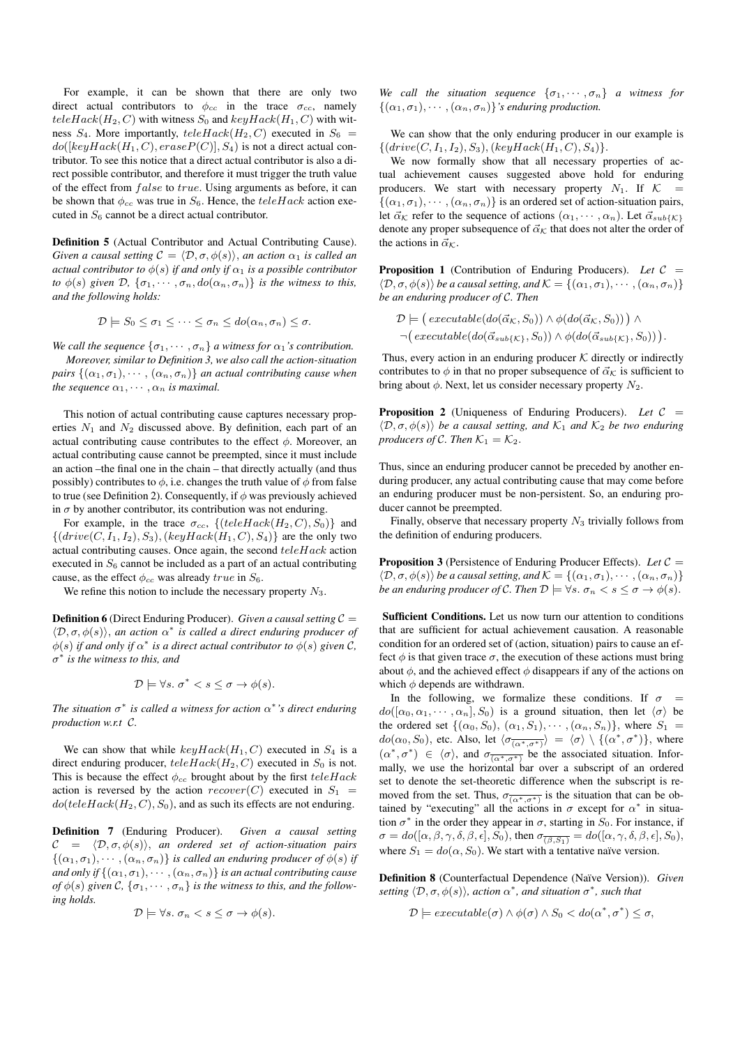For example, it can be shown that there are only two direct actual contributors to  $\phi_{cc}$  in the trace  $\sigma_{cc}$ , namely  $teleHack(H_2, C)$  with witness  $S_0$  and  $keyHack(H_1, C)$  with witness  $S_4$ . More importantly,  $teleHack(H_2, C)$  executed in  $S_6$  =  $do([keyHack(H_1, C), eraseP(C)], S_4)$  is not a direct actual contributor. To see this notice that a direct actual contributor is also a direct possible contributor, and therefore it must trigger the truth value of the effect from *false* to *true*. Using arguments as before, it can be shown that  $\phi_{cc}$  was true in  $S_6$ . Hence, the teleHack action executed in  $S_6$  cannot be a direct actual contributor.

Definition 5 (Actual Contributor and Actual Contributing Cause). *Given a causal setting*  $C = \langle \mathcal{D}, \sigma, \phi(s) \rangle$ , *an action*  $\alpha_1$  *is called an actual contributor to*  $\phi(s)$  *if and only if*  $\alpha_1$  *is a possible contributor to*  $\phi(s)$  *given*  $\mathcal{D}$ ,  $\{\sigma_1, \cdots, \sigma_n, do(\alpha_n, \sigma_n)\}$  *is the witness to this, and the following holds:*

$$
\mathcal{D} \models S_0 \leq \sigma_1 \leq \cdots \leq \sigma_n \leq d\sigma(\alpha_n, \sigma_n) \leq \sigma.
$$

*We call the sequence*  $\{\sigma_1, \cdots, \sigma_n\}$  *a witness for*  $\alpha_1$ *'s contribution. Moreover, similar to Definition 3, we also call the action-situation pairs*  $\{(\alpha_1, \sigma_1), \cdots, (\alpha_n, \sigma_n)\}\$ an actual contributing cause when *the sequence*  $\alpha_1, \cdots, \alpha_n$  *is maximal.* 

This notion of actual contributing cause captures necessary properties  $N_1$  and  $N_2$  discussed above. By definition, each part of an actual contributing cause contributes to the effect  $\phi$ . Moreover, an actual contributing cause cannot be preempted, since it must include an action –the final one in the chain – that directly actually (and thus possibly) contributes to  $\phi$ , i.e. changes the truth value of  $\phi$  from false to true (see Definition 2). Consequently, if  $\phi$  was previously achieved in  $\sigma$  by another contributor, its contribution was not enduring.

For example, in the trace  $\sigma_{cc}$ , {(teleHack(H<sub>2</sub>, C), S<sub>0</sub>)} and  $\{(drive(C, I_1, I_2), S_3), (keyHack(H_1, C), S_4)\}$  are the only two actual contributing causes. Once again, the second  $teleHack$  action executed in  $S_6$  cannot be included as a part of an actual contributing cause, as the effect  $\phi_{cc}$  was already true in  $S_6$ .

We refine this notion to include the necessary property  $N_3$ .

**Definition 6** (Direct Enduring Producer). *Given a causal setting*  $C =$  $\langle \mathcal{D}, \sigma, \phi(s) \rangle$ , *an action*  $\alpha^*$  *is called a direct enduring producer of*  $\phi(s)$  *if and only if*  $\alpha^*$  *is a direct actual contributor to*  $\phi(s)$  *given* C, σ ∗ *is the witness to this, and*

$$
\mathcal{D} \models \forall s. \ \sigma^* < s \leq \sigma \rightarrow \phi(s).
$$

The situation  $\sigma^*$  is called a witness for action  $\alpha^*$ 's direct enduring *production w.r.t* C*.*

We can show that while  $keyHack(H_1, C)$  executed in  $S_4$  is a direct enduring producer,  $teleHack(H_2, C)$  executed in  $S_0$  is not. This is because the effect  $\phi_{cc}$  brought about by the first teleHack action is reversed by the action  $recover(C)$  executed in  $S_1$  =  $do(teleHack(H_2, C), S_0)$ , and as such its effects are not enduring.

Definition 7 (Enduring Producer). *Given a causal setting*  $\mathcal{C} = \langle \mathcal{D}, \sigma, \phi(s) \rangle$ , *an ordered set of action-situation pairs*  $\{(\alpha_1,\sigma_1),\cdots,(\alpha_n,\sigma_n)\}\$ is called an enduring producer of  $\phi(s)$  if *and only if*  $\{(\alpha_1, \sigma_1), \cdots, (\alpha_n, \sigma_n)\}$  *is an actual contributing cause of*  $\phi(s)$  *given* C,  $\{\sigma_1, \cdots, \sigma_n\}$  *is the witness to this, and the following holds.*

$$
\mathcal{D} \models \forall s. \ \sigma_n < s \leq \sigma \rightarrow \phi(s).
$$

*We call the situation sequence*  $\{\sigma_1, \cdots, \sigma_n\}$  *a witness for*  $\{(\alpha_1,\sigma_1),\cdots,(\alpha_n,\sigma_n)\}\$ 's enduring production.

We can show that the only enduring producer in our example is  $\{(drive(C, I_1, I_2), S_3), (keyHack(H_1, C), S_4)\}.$ 

We now formally show that all necessary properties of actual achievement causes suggested above hold for enduring producers. We start with necessary property  $N_1$ . If  $K =$  $\{(\alpha_1, \sigma_1), \cdots, (\alpha_n, \sigma_n)\}\$ is an ordered set of action-situation pairs, let  $\vec{\alpha}_k$  refer to the sequence of actions  $(\alpha_1, \dots, \alpha_n)$ . Let  $\vec{\alpha}_{sub\{k\}}$ denote any proper subsequence of  $\vec{\alpha}_k$  that does not alter the order of the actions in  $\vec{\alpha}_K$ .

**Proposition 1** (Contribution of Enduring Producers). Let  $C =$  $\langle \mathcal{D}, \sigma, \phi(s) \rangle$  *be a causal setting, and*  $\mathcal{K} = \{(\alpha_1, \sigma_1), \cdots, (\alpha_n, \sigma_n)\}\$ *be an enduring producer of* C*. Then*

$$
\mathcal{D} \models (\text{execute}(do(\vec{\alpha}_{\mathcal{K}}, S_0)) \land \phi(do(\vec{\alpha}_{\mathcal{K}}, S_0))) \land \neg(\text{execute}(do(\vec{\alpha}_{sub\{\mathcal{K}\}}, S_0)) \land \phi(do(\vec{\alpha}_{sub\{\mathcal{K}\}}, S_0))).
$$

Thus, every action in an enduring producer  $K$  directly or indirectly contributes to  $\phi$  in that no proper subsequence of  $\vec{\alpha}_{\mathcal{K}}$  is sufficient to bring about  $\phi$ . Next, let us consider necessary property  $N_2$ .

Proposition 2 (Uniqueness of Enduring Producers). *Let* C =  $\langle \mathcal{D}, \sigma, \phi(s) \rangle$  *be a causal setting, and*  $\mathcal{K}_1$  *and*  $\mathcal{K}_2$  *be two enduring producers of C. Then*  $K_1 = K_2$ .

Thus, since an enduring producer cannot be preceded by another enduring producer, any actual contributing cause that may come before an enduring producer must be non-persistent. So, an enduring producer cannot be preempted.

Finally, observe that necessary property  $N_3$  trivially follows from the definition of enduring producers.

Proposition 3 (Persistence of Enduring Producer Effects). *Let* C =  $\langle \mathcal{D}, \sigma, \phi(s) \rangle$  *be a causal setting, and*  $\mathcal{K} = \{(\alpha_1, \sigma_1), \cdots, (\alpha_n, \sigma_n)\}$ *be an enduring producer of C. Then*  $\mathcal{D} \models \forall s. \ \sigma_n < s \leq \sigma \rightarrow \phi(s)$ *.* 

Sufficient Conditions. Let us now turn our attention to conditions that are sufficient for actual achievement causation. A reasonable condition for an ordered set of (action, situation) pairs to cause an effect  $\phi$  is that given trace  $\sigma$ , the execution of these actions must bring about  $\phi$ , and the achieved effect  $\phi$  disappears if any of the actions on which  $\phi$  depends are withdrawn.

In the following, we formalize these conditions. If  $\sigma$  =  $do([\alpha_0, \alpha_1, \cdots, \alpha_n], S_0)$  is a ground situation, then let  $\langle \sigma \rangle$  be the ordered set  $\{(\alpha_0, S_0), (\alpha_1, S_1), \cdots, (\alpha_n, S_n)\}\$ , where  $S_1$  $do(\alpha_0, S_0)$ , etc. Also, let  $\langle \sigma_{\overline{(\alpha^*, \sigma^*)}} \rangle = \langle \sigma \rangle \setminus \{(\alpha^*, \sigma^*)\},$  where  $(\alpha^*, \sigma^*) \in \langle \sigma \rangle$ , and  $\sigma_{\overline{(\alpha^*, \sigma^*)}}$  be the associated situation. Informally, we use the horizontal bar over a subscript of an ordered set to denote the set-theoretic difference when the subscript is removed from the set. Thus,  $\sigma_{\overline{(\alpha^*,\sigma^*)}}$  is the situation that can be obtained by "executing" all the actions in  $\sigma$  except for  $\alpha^*$  in situation  $\sigma^*$  in the order they appear in  $\sigma$ , starting in  $S_0$ . For instance, if  $\sigma = do([\alpha, \beta, \gamma, \delta, \beta, \epsilon], S_0),$  then  $\sigma_{\overline{(\beta, S_1)}} = do([\alpha, \gamma, \delta, \beta, \epsilon], S_0),$ where  $S_1 = do(\alpha, S_0)$ . We start with a tentative naïve version.

Definition 8 (Counterfactual Dependence (Na¨ıve Version)). *Given setting*  $\langle \mathcal{D}, \sigma, \phi(s) \rangle$ *, action*  $\alpha^*$ *, and situation*  $\sigma^*$ *, such that* 

 $\mathcal{D} \models executeable(\sigma) \land \phi(\sigma) \land S_0 < do(\alpha^*, \sigma^*) \leq \sigma,$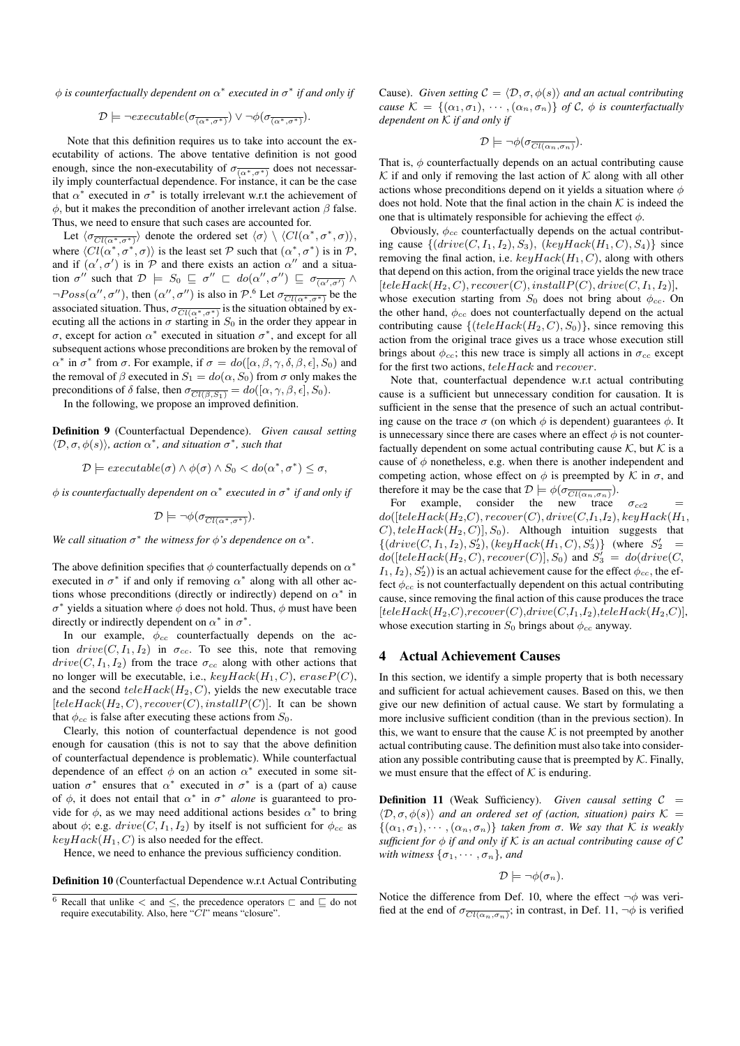φ *is counterfactually dependent on* α ∗ *executed in* σ ∗ *if and only if*

$$
\mathcal{D} \models \neg \mathit{execute}\left(\sigma_{\overline{(\alpha^*, \sigma^*)}}\right) \lor \neg \phi(\sigma_{\overline{(\alpha^*, \sigma^*)}}).
$$

Note that this definition requires us to take into account the executability of actions. The above tentative definition is not good enough, since the non-executability of  $\sigma_{\overline{(\alpha^*,\sigma^*)}}$  does not necessarily imply counterfactual dependence. For instance, it can be the case that  $\alpha^*$  executed in  $\sigma^*$  is totally irrelevant w.r.t the achievement of  $φ$ , but it makes the precondition of another irrelevant action  $β$  false. Thus, we need to ensure that such cases are accounted for.

Let  $\langle \sigma \overline{\text{Cl}(\alpha^*,\sigma^*)} \rangle$  denote the ordered set  $\langle \sigma \rangle \setminus \langle Cl(\alpha^*,\sigma^*,\sigma) \rangle$ , where  $\langle Cl(\alpha^*, \sigma^*, \sigma) \rangle$  is the least set P such that  $(\alpha^*, \sigma^*)$  is in P, and if  $(\alpha', \sigma')$  is in P and there exists an action  $\alpha''$  and a situation  $\sigma''$  such that  $\mathcal{D} \models S_0 \sqsubseteq \sigma'' \sqsubset do(\alpha'', \sigma'') \sqsubseteq \sigma_{\overline{(\alpha', \sigma')}}$  $\neg Poss(\alpha'', \sigma'')$ , then  $(\alpha'', \sigma'')$  is also in  $\mathcal{P}.\overset{6}{\circ}$  Let  $\sigma_{\overline{Cl(\alpha^*, \sigma^*)}}$  be the associated situation. Thus,  $\sigma_{\overline{Cl(\alpha^*, \sigma^*)}}$  is the situation obtained by executing all the actions in  $\sigma$  starting in  $S_0$  in the order they appear in σ, except for action  $\alpha^*$  executed in situation  $\sigma^*$ , and except for all subsequent actions whose preconditions are broken by the removal of  $\alpha^*$  in  $\sigma^*$  from  $\sigma$ . For example, if  $\sigma = do([\alpha, \beta, \gamma, \delta, \beta, \epsilon], S_0)$  and the removal of  $\beta$  executed in  $S_1 = do(\alpha, S_0)$  from  $\sigma$  only makes the preconditions of  $\delta$  false, then  $\sigma_{\overline{Cl(\beta,S_1)}} = do([\alpha, \gamma, \beta, \epsilon], S_0)$ .

In the following, we propose an improved definition.

Definition 9 (Counterfactual Dependence). *Given causal setting*  $\langle \mathcal{D}, \sigma, \phi(s) \rangle$ *, action*  $\alpha^*$ *, and situation*  $\sigma^*$ *, such that* 

$$
\mathcal{D} \models executeable(\sigma) \land \phi(\sigma) \land S_0 < do(\alpha^*, \sigma^*) \leq \sigma,
$$

φ *is counterfactually dependent on* α ∗ *executed in* σ ∗ *if and only if*

$$
\mathcal{D} \models \neg \phi(\sigma_{\overline{Cl(\alpha^*, \sigma^*)}}).
$$

We call situation  $\sigma^*$  the witness for  $\phi$ 's dependence on  $\alpha^*$ .

The above definition specifies that  $\phi$  counterfactually depends on  $\alpha^*$ executed in  $\sigma^*$  if and only if removing  $\alpha^*$  along with all other actions whose preconditions (directly or indirectly) depend on  $\alpha^*$  in  $\sigma^*$  yields a situation where  $\phi$  does not hold. Thus,  $\phi$  must have been directly or indirectly dependent on  $\alpha^*$  in  $\sigma^*$ .

In our example,  $\phi_{cc}$  counterfactually depends on the action  $drive(C, I_1, I_2)$  in  $\sigma_{cc}$ . To see this, note that removing  $drive(C, I_1, I_2)$  from the trace  $\sigma_{cc}$  along with other actions that no longer will be executable, i.e.,  $keyHack(H_1, C)$ ,  $eraseP(C)$ , and the second  $teleHack(H_2, C)$ , yields the new executable trace  $[teleHack(H_2, C), recover(C), installP(C)].$  It can be shown that  $\phi_{cc}$  is false after executing these actions from  $S_0$ .

Clearly, this notion of counterfactual dependence is not good enough for causation (this is not to say that the above definition of counterfactual dependence is problematic). While counterfactual dependence of an effect  $\phi$  on an action  $\alpha^*$  executed in some situation  $\sigma^*$  ensures that  $\alpha^*$  executed in  $\sigma^*$  is a (part of a) cause of  $\phi$ , it does not entail that  $\alpha^*$  in  $\sigma^*$  *alone* is guaranteed to provide for  $\phi$ , as we may need additional actions besides  $\alpha^*$  to bring about  $\phi$ ; e.g.  $drive$  (C,  $I_1, I_2$ ) by itself is not sufficient for  $\phi_{cc}$  as  $keyHack(H_1, C)$  is also needed for the effect.

Hence, we need to enhance the previous sufficiency condition.

Definition 10 (Counterfactual Dependence w.r.t Actual Contributing

Cause). *Given setting*  $C = \langle \mathcal{D}, \sigma, \phi(s) \rangle$  *and an actual contributing cause*  $\mathcal{K} = \{(\alpha_1, \sigma_1), \cdots, (\alpha_n, \sigma_n)\}\$  *of* C,  $\phi$  *is counterfactually dependent on* K *if and only if*

$$
\mathcal{D}\models \neg\phi(\sigma_{\overline{Cl(\alpha_n,\sigma_n)}}).
$$

That is,  $\phi$  counterfactually depends on an actual contributing cause  $K$  if and only if removing the last action of  $K$  along with all other actions whose preconditions depend on it yields a situation where  $\phi$ does not hold. Note that the final action in the chain  $K$  is indeed the one that is ultimately responsible for achieving the effect  $\phi$ .

Obviously,  $\phi_{cc}$  counterfactually depends on the actual contributing cause  $\{(drive(C, I_1, I_2), S_3), (keyHack(H_1, C), S_4)\}$  since removing the final action, i.e.  $keyHack(H_1, C)$ , along with others that depend on this action, from the original trace yields the new trace  $[teleHack(H_2, C), recover(C), installP(C), drive(C, I_1, I_2)],$ whose execution starting from  $S_0$  does not bring about  $\phi_{cc}$ . On the other hand,  $\phi_{cc}$  does not counterfactually depend on the actual contributing cause  $\{ (teleHack(H_2, C), S_0) \}$ , since removing this action from the original trace gives us a trace whose execution still brings about  $\phi_{cc}$ ; this new trace is simply all actions in  $\sigma_{cc}$  except for the first two actions, teleHack and recover.

Note that, counterfactual dependence w.r.t actual contributing cause is a sufficient but unnecessary condition for causation. It is sufficient in the sense that the presence of such an actual contributing cause on the trace  $\sigma$  (on which  $\phi$  is dependent) guarantees  $\phi$ . It is unnecessary since there are cases where an effect  $\phi$  is not counterfactually dependent on some actual contributing cause  $K$ , but  $K$  is a cause of  $\phi$  nonetheless, e.g. when there is another independent and competing action, whose effect on  $\phi$  is preempted by K in  $\sigma$ , and therefore it may be the case that  $\mathcal{D} \models \phi(\sigma_{\overline{Cl(\alpha_n, \sigma_n)}})$ .

For example, consider the new trace  $\sigma_{cc2}$  $do([teleHack(H_2, C), recover(C), drive(C, I_1, I_2), keyHack(H_1,$  $(C)$ , tele $Hack(H_2, C)], S_0$ . Although intuition suggests that  $\{(drive(C, I_1, I_2), S'_2), (keyHack(H_1, C), S'_3)\}$  (where  $S'_2$  =  $do([teleHack(H_2, C), recover(C)], S_0)$  and  $S'_3 = do(drive(C, C))$  $I_1, I_2, S'_2$ ) is an actual achievement cause for the effect  $\phi_{cc}$ , the effect  $\phi_{cc}$  is not counterfactually dependent on this actual contributing cause, since removing the final action of this cause produces the trace  $[teleHack(H_2, C), recover(C), drive(C, I_1, I_2),teleHack(H_2, C)],$ whose execution starting in  $S_0$  brings about  $\phi_{cc}$  anyway.

#### 4 Actual Achievement Causes

In this section, we identify a simple property that is both necessary and sufficient for actual achievement causes. Based on this, we then give our new definition of actual cause. We start by formulating a more inclusive sufficient condition (than in the previous section). In this, we want to ensure that the cause  $K$  is not preempted by another actual contributing cause. The definition must also take into consideration any possible contributing cause that is preempted by  $K$ . Finally, we must ensure that the effect of  $K$  is enduring.

**Definition 11** (Weak Sufficiency). *Given causal setting*  $C =$  $\langle \mathcal{D}, \sigma, \phi(s) \rangle$  *and an ordered set of (action, situation) pairs* K =  $\{(\alpha_1, \sigma_1), \cdots, (\alpha_n, \sigma_n)\}\$  *taken from*  $\sigma$ *. We say that* K *is weakly sufficient for* φ *if and only if* K *is an actual contributing cause of* C *with witness*  $\{\sigma_1, \cdots, \sigma_n\}$ *, and* 

$$
\mathcal{D} \models \neg \phi(\sigma_n).
$$

Notice the difference from Def. 10, where the effect  $\neg \phi$  was verified at the end of  $\sigma_{\overline{Cl(\alpha_n,\sigma_n)}}$ ; in contrast, in Def. 11,  $\neg \phi$  is verified

<sup>&</sup>lt;sup>6</sup> Recall that unlike  $\lt$  and  $\leq$ , the precedence operators  $\sqsubset$  and  $\sqsubseteq$  do not require executability. Also, here " $\dot{Cl}$ " means "closure".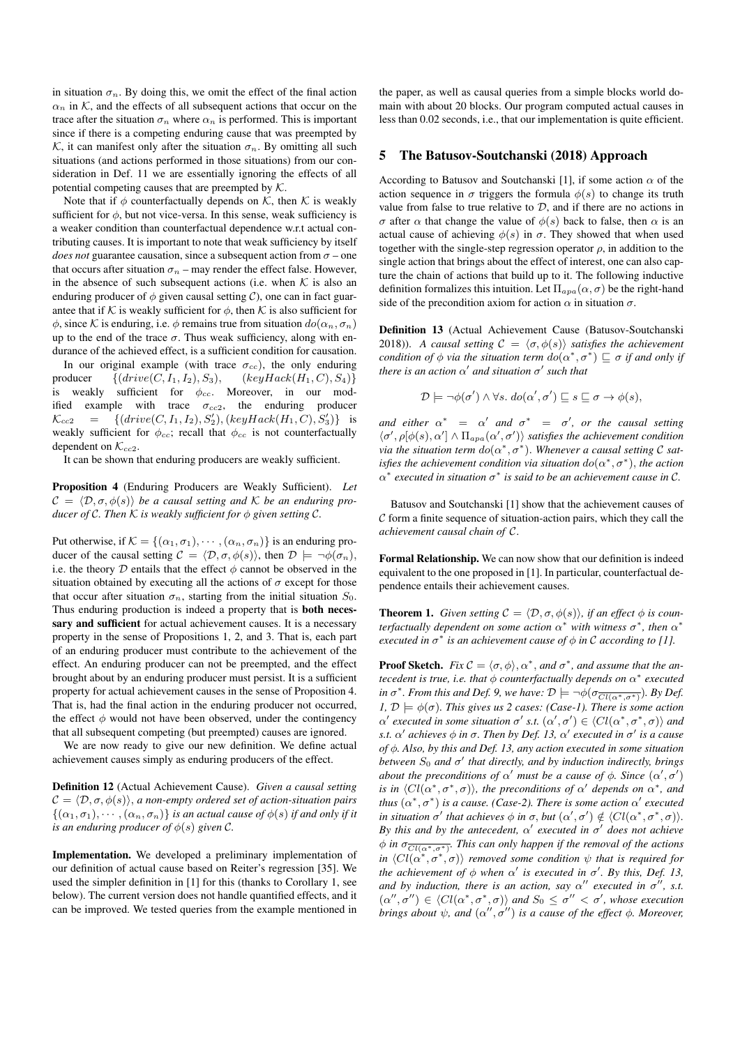in situation  $\sigma_n$ . By doing this, we omit the effect of the final action  $\alpha_n$  in K, and the effects of all subsequent actions that occur on the trace after the situation  $\sigma_n$  where  $\alpha_n$  is performed. This is important since if there is a competing enduring cause that was preempted by K, it can manifest only after the situation  $\sigma_n$ . By omitting all such situations (and actions performed in those situations) from our consideration in Def. 11 we are essentially ignoring the effects of all potential competing causes that are preempted by  $K$ .

Note that if  $\phi$  counterfactually depends on K, then K is weakly sufficient for  $\phi$ , but not vice-versa. In this sense, weak sufficiency is a weaker condition than counterfactual dependence w.r.t actual contributing causes. It is important to note that weak sufficiency by itself *does not* guarantee causation, since a subsequent action from  $\sigma$  – one that occurs after situation  $\sigma_n$  – may render the effect false. However, in the absence of such subsequent actions (i.e. when  $K$  is also an enduring producer of  $\phi$  given causal setting C), one can in fact guarantee that if K is weakly sufficient for  $\phi$ , then K is also sufficient for  $\phi$ , since K is enduring, i.e.  $\phi$  remains true from situation  $do(\alpha_n, \sigma_n)$ up to the end of the trace  $\sigma$ . Thus weak sufficiency, along with endurance of the achieved effect, is a sufficient condition for causation.

In our original example (with trace  $\sigma_{cc}$ ), the only enduring producer  $\{(drive(C, I_1, I_2), S_3), (keyHack(H_1, C), S_4)\}$ is weakly sufficient for  $\phi_{cc}$ . Moreover, in our modified example with trace  $\sigma_{cc2}$ , the enduring producer  $\mathcal{K}_{cc2} = \{(drive(C, I_1, I_2), S'_2), (keyHack(H_1, C), S'_3)\}$  is weakly sufficient for  $\phi_{cc}$ ; recall that  $\phi_{cc}$  is not counterfactually dependent on  $\mathcal{K}_{cc2}$ .

It can be shown that enduring producers are weakly sufficient.

Proposition 4 (Enduring Producers are Weakly Sufficient). *Let*  $\mathcal{C} = \langle \mathcal{D}, \sigma, \phi(s) \rangle$  *be a causal setting and* K *be an enduring producer of* C. Then K *is weakly sufficient for*  $\phi$  *given setting* C.

Put otherwise, if  $\mathcal{K} = \{(\alpha_1, \sigma_1), \cdots, (\alpha_n, \sigma_n)\}\$ is an enduring producer of the causal setting  $C = \langle \mathcal{D}, \sigma, \phi(s) \rangle$ , then  $\mathcal{D} \models \neg \phi(\sigma_n)$ , i.e. the theory  $D$  entails that the effect  $\phi$  cannot be observed in the situation obtained by executing all the actions of  $\sigma$  except for those that occur after situation  $\sigma_n$ , starting from the initial situation  $S_0$ . Thus enduring production is indeed a property that is both necessary and sufficient for actual achievement causes. It is a necessary property in the sense of Propositions 1, 2, and 3. That is, each part of an enduring producer must contribute to the achievement of the effect. An enduring producer can not be preempted, and the effect brought about by an enduring producer must persist. It is a sufficient property for actual achievement causes in the sense of Proposition 4. That is, had the final action in the enduring producer not occurred, the effect  $\phi$  would not have been observed, under the contingency that all subsequent competing (but preempted) causes are ignored.

We are now ready to give our new definition. We define actual achievement causes simply as enduring producers of the effect.

Definition 12 (Actual Achievement Cause). *Given a causal setting*  $\mathcal{C} = \langle \mathcal{D}, \sigma, \phi(s) \rangle$ , *a non-empty ordered set of action-situation pairs*  $\{(\alpha_1,\sigma_1),\cdots,(\alpha_n,\sigma_n)\}\$ is an actual cause of  $\phi(s)$  *if and only if it is an enduring producer of*  $\phi(s)$  *given* C.

Implementation. We developed a preliminary implementation of our definition of actual cause based on Reiter's regression [35]. We used the simpler definition in [1] for this (thanks to Corollary 1, see below). The current version does not handle quantified effects, and it can be improved. We tested queries from the example mentioned in

the paper, as well as causal queries from a simple blocks world domain with about 20 blocks. Our program computed actual causes in less than 0.02 seconds, i.e., that our implementation is quite efficient.

#### 5 The Batusov-Soutchanski (2018) Approach

According to Batusov and Soutchanski [1], if some action  $\alpha$  of the action sequence in  $\sigma$  triggers the formula  $\phi(s)$  to change its truth value from false to true relative to  $D$ , and if there are no actions in σ after  $\alpha$  that change the value of  $\phi(s)$  back to false, then  $\alpha$  is an actual cause of achieving  $\phi(s)$  in  $\sigma$ . They showed that when used together with the single-step regression operator  $\rho$ , in addition to the single action that brings about the effect of interest, one can also capture the chain of actions that build up to it. The following inductive definition formalizes this intuition. Let  $\Pi_{apa}(\alpha, \sigma)$  be the right-hand side of the precondition axiom for action  $\alpha$  in situation  $\sigma$ .

Definition 13 (Actual Achievement Cause (Batusov-Soutchanski 2018)). *A causal setting*  $C = \langle \sigma, \phi(s) \rangle$  *satisfies the achievement condition of*  $\phi$  *via the situation term*  $do(\alpha^*, \sigma^*) \sqsubseteq \sigma$  *if and only if there is an action*  $\alpha'$  *and situation*  $\sigma'$  *such that* 

$$
\mathcal{D} \models \neg \phi(\sigma') \land \forall s. \ do(\alpha', \sigma') \sqsubseteq s \sqsubseteq \sigma \rightarrow \phi(s),
$$

*and either*  $\alpha^* = \alpha'$  *and*  $\sigma^* = \sigma'$ , *or the causal setting*  $\langle \sigma', \rho[\phi(s), \alpha'] \wedge \Pi_{apa}(\alpha', \sigma') \rangle$  *satisfies the achievement condition via the situation term*  $do(\alpha^*, \sigma^*)$ . *Whenever a causal setting*  $\mathcal C$  *satisfies the achievement condition via situation*  $do(\alpha^*, \sigma^*)$ *, the action*  $\alpha^*$  executed in situation  $\sigma^*$  is said to be an achievement cause in C.

Batusov and Soutchanski [1] show that the achievement causes of  $\mathcal C$  form a finite sequence of situation-action pairs, which they call the *achievement causal chain of* C.

Formal Relationship. We can now show that our definition is indeed equivalent to the one proposed in [1]. In particular, counterfactual dependence entails their achievement causes.

**Theorem 1.** *Given setting*  $C = \langle \mathcal{D}, \sigma, \phi(s) \rangle$ *, if an effect*  $\phi$  *is counterfactually dependent on some action*  $\alpha^*$  with witness  $\sigma^*$ , then  $\alpha^*$ *executed in*  $\sigma^*$  *is an achievement cause of*  $\phi$  *in* C *according to* [1].

**Proof Sketch.** *Fix*  $C = \langle \sigma, \phi \rangle$ ,  $\alpha^*$ , *and*  $\sigma^*$ *, and assume that the antecedent is true, i.e. that*  $φ$  *counterfactually depends on*  $α$ <sup>\*</sup> *executed in*  $\sigma^*$ *. From this and Def.* 9, we have:  $\mathcal{D} \models \neg \phi(\sigma_{\overline{Cl(\alpha^*, \sigma^*)}})$ *. By Def. 1,*  $\mathcal{D} \models \phi(\sigma)$ *. This gives us 2 cases: (Case-1). There is some action*  $\alpha'$  executed in some situation  $\sigma'$  s.t.  $(\alpha', \sigma') \in \langle Cl(\alpha^*, \sigma^*, \sigma) \rangle$  and *s.t.* α 0 *achieves* φ *in* σ*. Then by Def. 13,* α 0 *executed in* σ 0 *is a cause of* φ*. Also, by this and Def. 13, any action executed in some situation*  $b$ etween  $S_0$  and  $\sigma'$  that directly, and by induction indirectly, brings *about the preconditions of*  $\alpha'$  *must be a cause of*  $\phi$ *. Since*  $(\alpha', \sigma')$ *is in*  $\langle Cl(\alpha^*, \sigma^*, \sigma) \rangle$ *, the preconditions of*  $\alpha'$  *depends on*  $\alpha^*$ *, and thus*  $(\alpha^*, \sigma^*)$  *is a cause.* (Case-2). There is some action  $\alpha'$  executed *in situation*  $\sigma'$  *that achieves*  $\phi$  *in*  $\sigma$ *, but*  $(\alpha', \sigma') \notin \langle Cl(\alpha^*, \sigma^*, \sigma) \rangle$ *.* By this and by the antecedent,  $\alpha'$  executed in  $\sigma'$  does not achieve  $\phi$  in  $\sigma \frac{\overline{C_l(\alpha^*,\sigma^*)}}{\overline{C_l(\alpha^*,\sigma^*)}}$ . This can only happen if the removal of the actions in  $\langle Cl(\alpha^*, \sigma^*, \sigma) \rangle$  *removed some condition*  $\psi$  *that is required for the achievement of*  $\phi$  *when*  $\alpha'$  *is executed in*  $\sigma'$ *. By this, Def. 13, and by induction, there is an action, say*  $\alpha''$  *executed in*  $\sigma''$ *, s.t.*  $(\alpha'', \sigma'') \in \langle Cl(\alpha^*, \sigma^*, \sigma) \rangle$  and  $S_0 \leq \sigma'' < \sigma'$ , whose execution *brings about*  $\psi$ *, and*  $(\alpha'', \sigma'')$  *is a cause of the effect*  $\phi$ *. Moreover,*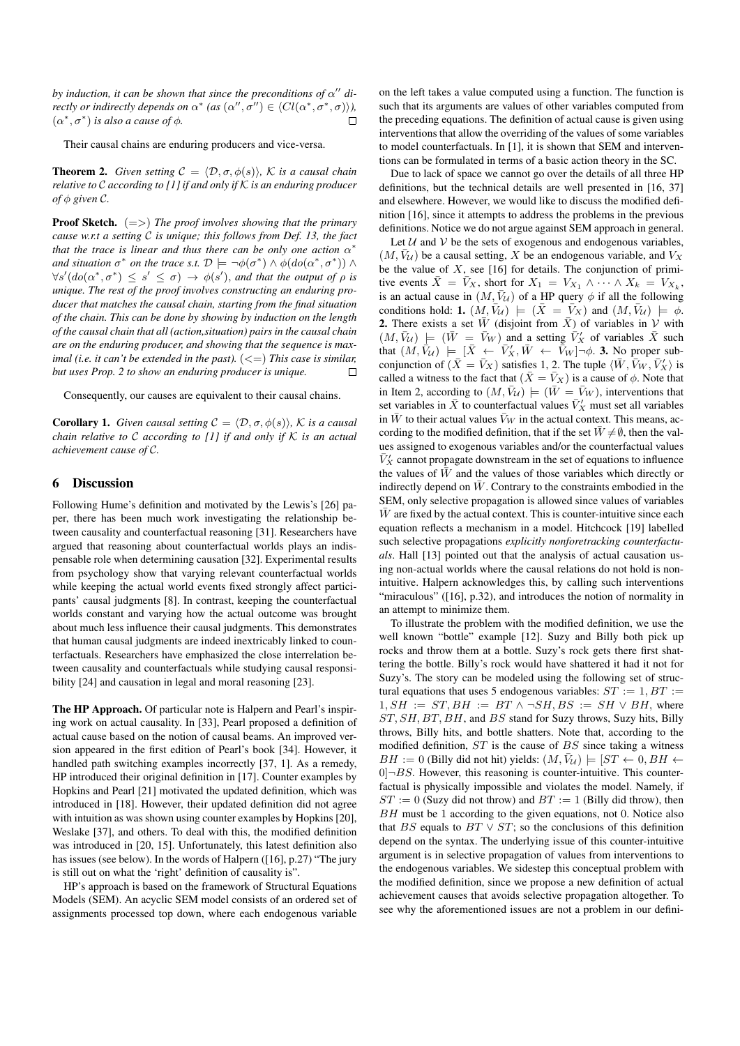*by induction, it can be shown that since the preconditions of*  $\alpha''$  *directly or indirectly depends on*  $\alpha^*$  (as  $(\alpha'', \sigma'') \in \langle Cl(\alpha^*, \sigma^*, \sigma) \rangle$ ),  $(\alpha^*, \sigma^*)$  *is also a cause of*  $\phi$ *.*  $\Box$ 

Their causal chains are enduring producers and vice-versa.

**Theorem 2.** *Given setting*  $C = \langle \mathcal{D}, \sigma, \phi(s) \rangle$ *, K is a causal chain relative to* C *according to [1] if and only if* K *is an enduring producer of*  $\phi$  *given*  $\mathcal{C}$ *.* 

Proof Sketch. (=>) *The proof involves showing that the primary cause w.r.t a setting* C *is unique; this follows from Def. 13, the fact that the trace is linear and thus there can be only one action*  $\alpha^*$ *and situation*  $\sigma^*$  *on the trace s.t.*  $\mathcal{D} \models \neg \phi(\sigma^*) \land \phi(do(\alpha^*, \sigma^*)) \land$  $\forall s' (do(\alpha^*, \sigma^*) \le s' \le \sigma) \rightarrow \phi(s')$ , and that the output of  $\rho$  is *unique. The rest of the proof involves constructing an enduring producer that matches the causal chain, starting from the final situation of the chain. This can be done by showing by induction on the length of the causal chain that all (action,situation) pairs in the causal chain are on the enduring producer, and showing that the sequence is maximal (i.e. it can't be extended in the past).*  $(<)$  *This case is similar, but uses Prop. 2 to show an enduring producer is unique.*  $\Box$ 

Consequently, our causes are equivalent to their causal chains.

**Corollary 1.** *Given causal setting*  $C = \langle \mathcal{D}, \sigma, \phi(s) \rangle$ *, K is a causal chain relative to* C *according to [1] if and only if* K *is an actual achievement cause of* C*.*

## 6 Discussion

Following Hume's definition and motivated by the Lewis's [26] paper, there has been much work investigating the relationship between causality and counterfactual reasoning [31]. Researchers have argued that reasoning about counterfactual worlds plays an indispensable role when determining causation [32]. Experimental results from psychology show that varying relevant counterfactual worlds while keeping the actual world events fixed strongly affect participants' causal judgments [8]. In contrast, keeping the counterfactual worlds constant and varying how the actual outcome was brought about much less influence their causal judgments. This demonstrates that human causal judgments are indeed inextricably linked to counterfactuals. Researchers have emphasized the close interrelation between causality and counterfactuals while studying causal responsibility [24] and causation in legal and moral reasoning [23].

The HP Approach. Of particular note is Halpern and Pearl's inspiring work on actual causality. In [33], Pearl proposed a definition of actual cause based on the notion of causal beams. An improved version appeared in the first edition of Pearl's book [34]. However, it handled path switching examples incorrectly [37, 1]. As a remedy, HP introduced their original definition in [17]. Counter examples by Hopkins and Pearl [21] motivated the updated definition, which was introduced in [18]. However, their updated definition did not agree with intuition as was shown using counter examples by Hopkins [20], Weslake [37], and others. To deal with this, the modified definition was introduced in [20, 15]. Unfortunately, this latest definition also has issues (see below). In the words of Halpern ([16], p.27) "The jury is still out on what the 'right' definition of causality is".

HP's approach is based on the framework of Structural Equations Models (SEM). An acyclic SEM model consists of an ordered set of assignments processed top down, where each endogenous variable on the left takes a value computed using a function. The function is such that its arguments are values of other variables computed from the preceding equations. The definition of actual cause is given using interventions that allow the overriding of the values of some variables to model counterfactuals. In [1], it is shown that SEM and interventions can be formulated in terms of a basic action theory in the SC.

Due to lack of space we cannot go over the details of all three HP definitions, but the technical details are well presented in [16, 37] and elsewhere. However, we would like to discuss the modified definition [16], since it attempts to address the problems in the previous definitions. Notice we do not argue against SEM approach in general.

Let  $U$  and  $V$  be the sets of exogenous and endogenous variables,  $(M, \bar{V}_U)$  be a causal setting, X be an endogenous variable, and  $V_X$ be the value of  $X$ , see [16] for details. The conjunction of primitive events  $\bar{X} = \bar{V}_X$ , short for  $X_1 = V_{X_1} \wedge \cdots \wedge X_k = V_{X_k}$ . is an actual cause in  $(M, \bar{V}_U)$  of a HP query  $\phi$  if all the following conditions hold: 1.  $(M, \bar{V}_U)$   $\models$   $(\bar{X} = \bar{V}_X)$  and  $(M, \bar{V}_U)$   $\models \phi$ . **2.** There exists a set  $\overline{W}$  (disjoint from  $\overline{X}$ ) of variables in V with  $(M, \bar{V}_U)$   $\models$   $(\bar{W} = \bar{V}_W)$  and a setting  $\bar{V}'_X$  of variables  $\bar{X}$  such that  $(M, \bar{V}_U)$   $\models$   $[\bar{X} \leftarrow \bar{V}_X', \bar{W} \leftarrow \bar{V}_W] \neg \phi$ . 3. No proper subconjunction of  $(\bar{X} = \bar{V}_X)$  satisfies 1, 2. The tuple  $\langle \bar{W}, \bar{V}_W, \bar{V}'_X \rangle$  is called a witness to the fact that  $(\bar{X} = \bar{V}_X)$  is a cause of  $\phi$ . Note that in Item 2, according to  $(M, \bar{V}_U) \models (\bar{W} = \bar{V}_W)$ , interventions that set variables in  $\bar{X}$  to counterfactual values  $\bar{V}'_X$  must set all variables in  $\bar{W}$  to their actual values  $\bar{V}_W$  in the actual context. This means, according to the modified definition, that if the set  $\bar{W} \neq \emptyset$ , then the values assigned to exogenous variables and/or the counterfactual values  $\bar{V}'_X$  cannot propagate downstream in the set of equations to influence the values of  $\bar{W}$  and the values of those variables which directly or indirectly depend on  $\bar{W}$ . Contrary to the constraints embodied in the SEM, only selective propagation is allowed since values of variables  $W$  are fixed by the actual context. This is counter-intuitive since each equation reflects a mechanism in a model. Hitchcock [19] labelled such selective propagations *explicitly nonforetracking counterfactuals*. Hall [13] pointed out that the analysis of actual causation using non-actual worlds where the causal relations do not hold is nonintuitive. Halpern acknowledges this, by calling such interventions "miraculous" ([16], p.32), and introduces the notion of normality in an attempt to minimize them.

To illustrate the problem with the modified definition, we use the well known "bottle" example [12]. Suzy and Billy both pick up rocks and throw them at a bottle. Suzy's rock gets there first shattering the bottle. Billy's rock would have shattered it had it not for Suzy's. The story can be modeled using the following set of structural equations that uses 5 endogenous variables:  $ST := 1, BT :=$  $1, SH := ST, BH := BT \wedge \neg SH, BS := SH \vee BH$ , where ST, SH, BT, BH, and BS stand for Suzy throws, Suzy hits, Billy throws, Billy hits, and bottle shatters. Note that, according to the modified definition,  $ST$  is the cause of  $BS$  since taking a witness  $BH := 0$  (Billy did not hit) yields:  $(M, \bar{V}_U) \models [ST \leftarrow 0, BH \leftarrow 0]$  $0$  $\neg$ BS. However, this reasoning is counter-intuitive. This counterfactual is physically impossible and violates the model. Namely, if  $ST := 0$  (Suzy did not throw) and  $BT := 1$  (Billy did throw), then BH must be 1 according to the given equations, not 0. Notice also that BS equals to  $BT \vee ST$ ; so the conclusions of this definition depend on the syntax. The underlying issue of this counter-intuitive argument is in selective propagation of values from interventions to the endogenous variables. We sidestep this conceptual problem with the modified definition, since we propose a new definition of actual achievement causes that avoids selective propagation altogether. To see why the aforementioned issues are not a problem in our defini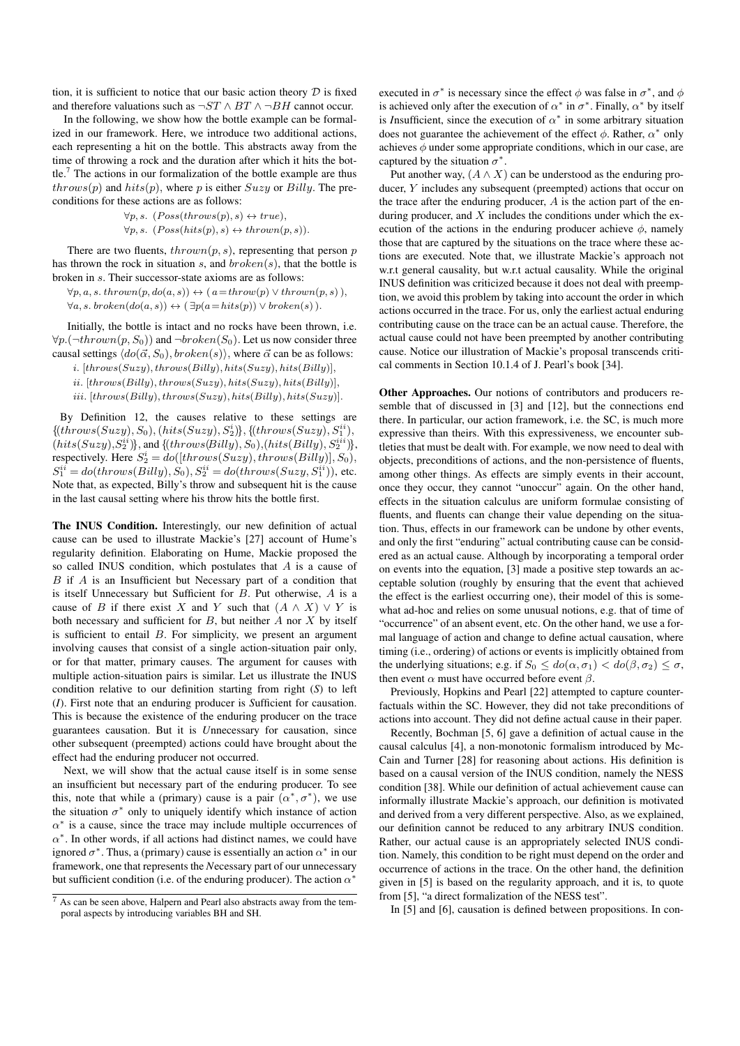tion, it is sufficient to notice that our basic action theory  $D$  is fixed and therefore valuations such as  $\neg ST \land BT \land \neg BH$  cannot occur.

In the following, we show how the bottle example can be formalized in our framework. Here, we introduce two additional actions, each representing a hit on the bottle. This abstracts away from the time of throwing a rock and the duration after which it hits the bottle.<sup>7</sup> The actions in our formalization of the bottle example are thus  $throws(p)$  and  $hits(p)$ , where p is either  $Suzzy$  or  $Billy$ . The preconditions for these actions are as follows:

> $\forall p, s. \ (Poss(throws(p), s) \leftrightarrow true),$  $\forall p, s. \ (Poss(hits(p), s) \leftrightarrow thrown(p, s)).$

There are two fluents,  $thrown(p, s)$ , representing that person p has thrown the rock in situation s, and  $broken(s)$ , that the bottle is broken in s. Their successor-state axioms are as follows:

 $\forall p, a, s. \text{ thrown}(p, do(a, s)) \leftrightarrow (a = \text{throw}(p) \lor \text{throw}(p, s)),$  $\forall a, s. broken(do(a, s)) \leftrightarrow (\exists p(a=hits(p)) \vee broken(s)).$ 

Initially, the bottle is intact and no rocks have been thrown, i.e.  $\forall p.(\neg thrown(p, S_0))$  and  $\neg broken(S_0)$ . Let us now consider three causal settings  $\langle do(\vec{\alpha}, S_0), broken(s)\rangle$ , where  $\vec{\alpha}$  can be as follows:

i.  $[throws(Suzy), throws(Billy), hits(Suzy), hits(Billy)],$ 

 $ii.$  [throws( $Billy$ ), throws( $Suzy$ ), hits( $Suzy$ ), hits( $Billy$ ]], iii.  $[throws(Billy), throws(Suzzy), hits(Billy), hits(Suzzy)].$ 

By Definition 12, the causes relative to these settings are  $\{(\text{throws}(Suzzy), S_0), (\text{hits}(Suzzy), S_2^i)\}, \{(\text{throws}(Suzzy), S_1^{ii}),$  $(hits(Suzzy), S_2^{ii})\}$ , and  $\{(throws (Billy), S_0), (hits (Billy), S_2^{iii})\}$ , respectively. Here  $S_2^i = do([throws(Suzzy), throws(Billy)], S_0),$  $S_1^{ii} = do(throws(Billy), S_0), S_2^{ii} = do(throws(Suzzy, S_1^{ii})),$  etc. Note that, as expected, Billy's throw and subsequent hit is the cause in the last causal setting where his throw hits the bottle first.

The INUS Condition. Interestingly, our new definition of actual cause can be used to illustrate Mackie's [27] account of Hume's regularity definition. Elaborating on Hume, Mackie proposed the so called INUS condition, which postulates that A is a cause of B if A is an Insufficient but Necessary part of a condition that is itself Unnecessary but Sufficient for B. Put otherwise, A is a cause of B if there exist X and Y such that  $(A \wedge X) \vee Y$  is both necessary and sufficient for  $B$ , but neither  $A$  nor  $X$  by itself is sufficient to entail  $B$ . For simplicity, we present an argument involving causes that consist of a single action-situation pair only, or for that matter, primary causes. The argument for causes with multiple action-situation pairs is similar. Let us illustrate the INUS condition relative to our definition starting from right (*S*) to left (*I*). First note that an enduring producer is *S*ufficient for causation. This is because the existence of the enduring producer on the trace guarantees causation. But it is *U*nnecessary for causation, since other subsequent (preempted) actions could have brought about the effect had the enduring producer not occurred.

Next, we will show that the actual cause itself is in some sense an insufficient but necessary part of the enduring producer. To see this, note that while a (primary) cause is a pair  $(\alpha^*, \sigma^*)$ , we use the situation  $\sigma^*$  only to uniquely identify which instance of action  $\alpha^*$  is a cause, since the trace may include multiple occurrences of  $\alpha^*$ . In other words, if all actions had distinct names, we could have ignored  $\sigma^*$ . Thus, a (primary) cause is essentially an action  $\alpha^*$  in our framework, one that represents the *N*ecessary part of our unnecessary but sufficient condition (i.e. of the enduring producer). The action  $\alpha^*$ 

executed in  $\sigma^*$  is necessary since the effect  $\phi$  was false in  $\sigma^*$ , and  $\phi$ is achieved only after the execution of  $\alpha^*$  in  $\sigma^*$ . Finally,  $\alpha^*$  by itself is *Insufficient*, since the execution of  $\alpha^*$  in some arbitrary situation does not guarantee the achievement of the effect  $\phi$ . Rather,  $\alpha^*$  only achieves  $\phi$  under some appropriate conditions, which in our case, are captured by the situation  $\sigma^*$ .

Put another way,  $(A \wedge X)$  can be understood as the enduring producer, Y includes any subsequent (preempted) actions that occur on the trace after the enduring producer,  $A$  is the action part of the enduring producer, and  $X$  includes the conditions under which the execution of the actions in the enduring producer achieve  $\phi$ , namely those that are captured by the situations on the trace where these actions are executed. Note that, we illustrate Mackie's approach not w.r.t general causality, but w.r.t actual causality. While the original INUS definition was criticized because it does not deal with preemption, we avoid this problem by taking into account the order in which actions occurred in the trace. For us, only the earliest actual enduring contributing cause on the trace can be an actual cause. Therefore, the actual cause could not have been preempted by another contributing cause. Notice our illustration of Mackie's proposal transcends critical comments in Section 10.1.4 of J. Pearl's book [34].

Other Approaches. Our notions of contributors and producers resemble that of discussed in [3] and [12], but the connections end there. In particular, our action framework, i.e. the SC, is much more expressive than theirs. With this expressiveness, we encounter subtleties that must be dealt with. For example, we now need to deal with objects, preconditions of actions, and the non-persistence of fluents, among other things. As effects are simply events in their account, once they occur, they cannot "unoccur" again. On the other hand, effects in the situation calculus are uniform formulae consisting of fluents, and fluents can change their value depending on the situation. Thus, effects in our framework can be undone by other events, and only the first "enduring" actual contributing cause can be considered as an actual cause. Although by incorporating a temporal order on events into the equation, [3] made a positive step towards an acceptable solution (roughly by ensuring that the event that achieved the effect is the earliest occurring one), their model of this is somewhat ad-hoc and relies on some unusual notions, e.g. that of time of "occurrence" of an absent event, etc. On the other hand, we use a formal language of action and change to define actual causation, where timing (i.e., ordering) of actions or events is implicitly obtained from the underlying situations; e.g. if  $S_0 \leq do(\alpha, \sigma_1) < do(\beta, \sigma_2) \leq \sigma$ , then event  $\alpha$  must have occurred before event  $\beta$ .

Previously, Hopkins and Pearl [22] attempted to capture counterfactuals within the SC. However, they did not take preconditions of actions into account. They did not define actual cause in their paper.

Recently, Bochman [5, 6] gave a definition of actual cause in the causal calculus [4], a non-monotonic formalism introduced by Mc-Cain and Turner [28] for reasoning about actions. His definition is based on a causal version of the INUS condition, namely the NESS condition [38]. While our definition of actual achievement cause can informally illustrate Mackie's approach, our definition is motivated and derived from a very different perspective. Also, as we explained, our definition cannot be reduced to any arbitrary INUS condition. Rather, our actual cause is an appropriately selected INUS condition. Namely, this condition to be right must depend on the order and occurrence of actions in the trace. On the other hand, the definition given in [5] is based on the regularity approach, and it is, to quote from [5], "a direct formalization of the NESS test".

In [5] and [6], causation is defined between propositions. In con-

<sup>7</sup> As can be seen above, Halpern and Pearl also abstracts away from the temporal aspects by introducing variables BH and SH.